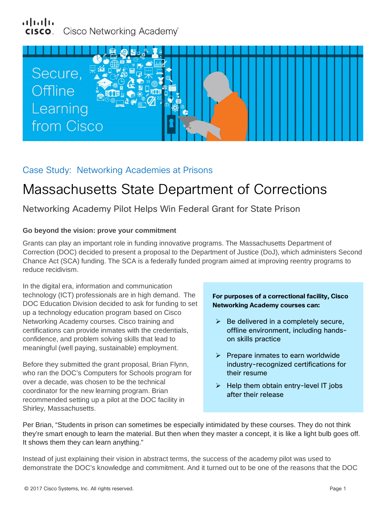### بتلبيان Cisco Networking Academy®



# Case Study: Networking Academies at Prisons

# Massachusetts State Department of Corrections

## Networking Academy Pilot Helps Win Federal Grant for State Prison

#### **Go beyond the vision: prove your commitment**

Grants can play an important role in funding innovative programs. The Massachusetts Department of Correction (DOC) decided to present a proposal to the Department of Justice (DoJ), which administers Second Chance Act (SCA) funding. The SCA is a federally funded program aimed at improving reentry programs to reduce recidivism.

In the digital era, information and communication technology (ICT) professionals are in high demand. The DOC Education Division decided to ask for funding to set up a technology education program based on Cisco Networking Academy courses. Cisco training and certifications can provide inmates with the credentials, confidence, and problem solving skills that lead to meaningful (well paying, sustainable) employment.

Before they submitted the grant proposal, Brian Flynn, who ran the DOC's Computers for Schools program for over a decade, was chosen to be the technical coordinator for the new learning program. Brian recommended setting up a pilot at the DOC facility in Shirley, Massachusetts.

#### **For purposes of a correctional facility, Cisco Networking Academy courses can:**

- $\triangleright$  Be delivered in a completely secure, offline environment, including handson skills practice
- $\triangleright$  Prepare inmates to earn worldwide industry-recognized certifications for their resume
- $\triangleright$  Help them obtain entry-level IT jobs after their release

Per Brian, "Students in prison can sometimes be especially intimidated by these courses. They do not think they're smart enough to learn the material. But then when they master a concept, it is like a light bulb goes off. It shows them they can learn anything."

Instead of just explaining their vision in abstract terms, the success of the academy pilot was used to demonstrate the DOC's knowledge and commitment. And it turned out to be one of the reasons that the DOC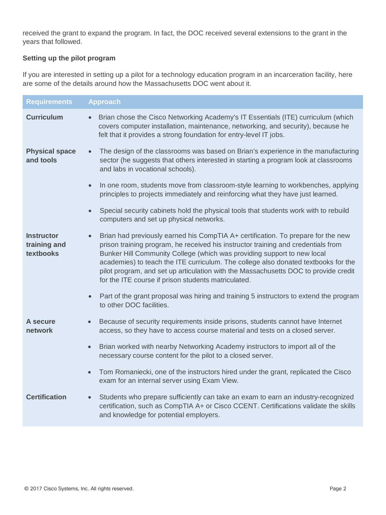received the grant to expand the program. In fact, the DOC received several extensions to the grant in the years that followed.

#### **Setting up the pilot program**

If you are interested in setting up a pilot for a technology education program in an incarceration facility, here are some of the details around how the Massachusetts DOC went about it.

| <b>Requirements</b>                            | <b>Approach</b>                                                                                                                                                                                                                                                                                                                                                                                                                                                                                   |
|------------------------------------------------|---------------------------------------------------------------------------------------------------------------------------------------------------------------------------------------------------------------------------------------------------------------------------------------------------------------------------------------------------------------------------------------------------------------------------------------------------------------------------------------------------|
| <b>Curriculum</b>                              | Brian chose the Cisco Networking Academy's IT Essentials (ITE) curriculum (which<br>$\bullet$<br>covers computer installation, maintenance, networking, and security), because he<br>felt that it provides a strong foundation for entry-level IT jobs.                                                                                                                                                                                                                                           |
| <b>Physical space</b><br>and tools             | The design of the classrooms was based on Brian's experience in the manufacturing<br>$\bullet$<br>sector (he suggests that others interested in starting a program look at classrooms<br>and labs in vocational schools).                                                                                                                                                                                                                                                                         |
|                                                | In one room, students move from classroom-style learning to workbenches, applying<br>$\bullet$<br>principles to projects immediately and reinforcing what they have just learned.                                                                                                                                                                                                                                                                                                                 |
|                                                | Special security cabinets hold the physical tools that students work with to rebuild<br>$\bullet$<br>computers and set up physical networks.                                                                                                                                                                                                                                                                                                                                                      |
| <b>Instructor</b><br>training and<br>textbooks | Brian had previously earned his CompTIA A+ certification. To prepare for the new<br>$\bullet$<br>prison training program, he received his instructor training and credentials from<br>Bunker Hill Community College (which was providing support to new local<br>academies) to teach the ITE curriculum. The college also donated textbooks for the<br>pilot program, and set up articulation with the Massachusetts DOC to provide credit<br>for the ITE course if prison students matriculated. |
|                                                | Part of the grant proposal was hiring and training 5 instructors to extend the program<br>$\bullet$<br>to other DOC facilities.                                                                                                                                                                                                                                                                                                                                                                   |
| <b>A</b> secure<br>network                     | Because of security requirements inside prisons, students cannot have Internet<br>$\bullet$<br>access, so they have to access course material and tests on a closed server.                                                                                                                                                                                                                                                                                                                       |
|                                                | Brian worked with nearby Networking Academy instructors to import all of the<br>$\bullet$<br>necessary course content for the pilot to a closed server.                                                                                                                                                                                                                                                                                                                                           |
|                                                | Tom Romaniecki, one of the instructors hired under the grant, replicated the Cisco<br>$\bullet$<br>exam for an internal server using Exam View.                                                                                                                                                                                                                                                                                                                                                   |
| <b>Certification</b>                           | Students who prepare sufficiently can take an exam to earn an industry-recognized<br>$\bullet$<br>certification, such as CompTIA A+ or Cisco CCENT. Certifications validate the skills<br>and knowledge for potential employers.                                                                                                                                                                                                                                                                  |